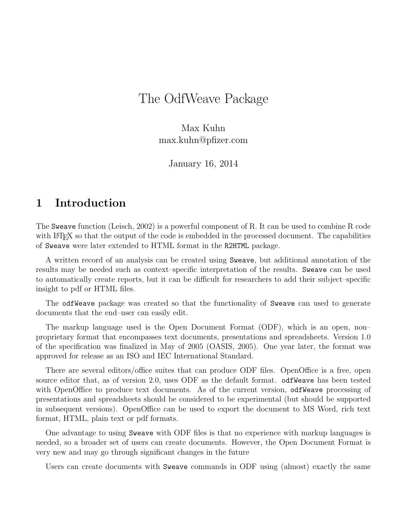# The OdfWeave Package

Max Kuhn max.kuhn@pfizer.com

January 16, 2014

#### 1 Introduction

The Sweave function (Leisch, 2002) is a powerful component of R. It can be used to combine R code with LATEX so that the output of the code is embedded in the processed document. The capabilities of Sweave were later extended to HTML format in the R2HTML package.

A written record of an analysis can be created using Sweave, but additional annotation of the results may be needed such as context–specific interpretation of the results. Sweave can be used to automatically create reports, but it can be difficult for researchers to add their subject–specific insight to pdf or HTML files.

The odfWeave package was created so that the functionality of Sweave can used to generate documents that the end–user can easily edit.

The markup language used is the Open Document Format (ODF), which is an open, non– proprietary format that encompasses text documents, presentations and spreadsheets. Version 1.0 of the specification was finalized in May of 2005 (OASIS, 2005). One year later, the format was approved for release as an ISO and IEC International Standard.

There are several editors/office suites that can produce ODF files. OpenOffice is a free, open source editor that, as of version 2.0, uses ODF as the default format. odfWeave has been tested with OpenOffice to produce text documents. As of the current version, odfleave processing of presentations and spreadsheets should be considered to be experimental (but should be supported in subsequent versions). OpenOffice can be used to export the document to MS Word, rich text format, HTML, plain text or pdf formats.

One advantage to using Sweave with ODF files is that no experience with markup languages is needed, so a broader set of users can create documents. However, the Open Document Format is very new and may go through significant changes in the future

Users can create documents with Sweave commands in ODF using (almost) exactly the same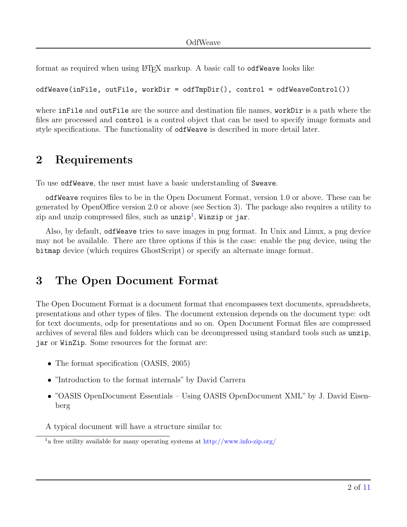format as required when using ET<sub>E</sub>X markup. A basic call to odfWeave looks like

odfWeave(inFile, outFile, workDir = odfTmpDir(), control = odfWeaveControl())

where inFile and outFile are the source and destination file names, workDir is a path where the files are processed and control is a control object that can be used to specify image formats and style specifications. The functionality of odfWeave is described in more detail later.

## 2 Requirements

To use odfWeave, the user must have a basic understanding of Sweave.

odfWeave requires files to be in the Open Document Format, version 1.0 or above. These can be generated by OpenOffice version 2.0 or above (see Section 3). The package also requires a utility to zip and unzip compressed files, such as  $\mathtt{unzip^1},$  $\mathtt{unzip^1},$  $\mathtt{unzip^1},$  Winzip or  $\mathtt{jar}.$ 

Also, by default, odfWeave tries to save images in png format. In Unix and Linux, a png device may not be available. There are three options if this is the case: enable the png device, using the bitmap device (which requires GhostScript) or specify an alternate image format.

### 3 The Open Document Format

The Open Document Format is a document format that encompasses text documents, spreadsheets, presentations and other types of files. The document extension depends on the document type: odt for text documents, odp for presentations and so on. Open Document Format files are compressed archives of several files and folders which can be decompressed using standard tools such as unzip, jar or WinZip. Some resources for the format are:

- The format specification (OASIS, 2005)
- "Introduction to the format internals" by David Carrera
- "OASIS OpenDocument Essentials Using OASIS OpenDocument XML" by J. David Eisenberg

A typical document will have a structure similar to:

<span id="page-1-0"></span><sup>&</sup>lt;sup>1</sup>a free utility available for many operating systems at <http://www.info-zip.org/>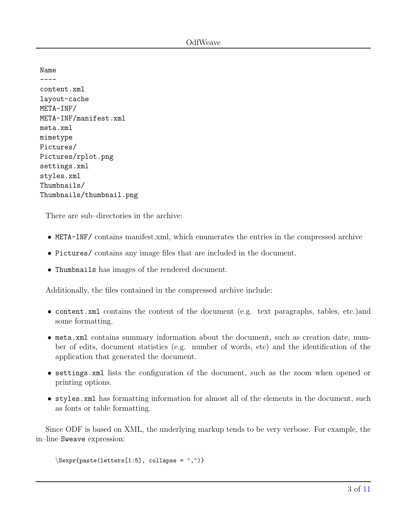Name  $--$ content.xml layout-cache META-INF/ META-INF/manifest.xml meta.xml mimetype Pictures/ Pictures/rplot.png settings.xml styles.xml Thumbnails/ Thumbnails/thumbnail.png

There are sub–directories in the archive:

- META-INF/ contains manifest.xml, which enumerates the entries in the compressed archive
- Pictures/ contains any image files that are included in the document.
- Thumbnails has images of the rendered document.

Additionally, the files contained in the compressed archive include:

- content.xml contains the content of the document (e.g. text paragraphs, tables, etc.)and some formatting.
- meta.xml contains summary information about the document, such as creation date, number of edits, document statistics (e.g. number of words, etc) and the identification of the application that generated the document.
- settings.xml lists the configuration of the document, such as the zoom when opened or printing options.
- styles.xml has formatting information for almost all of the elements in the document, such as fonts or table formatting.

Since ODF is based on XML, the underlying markup tends to be very verbose. For example, the in–line Sweave expression:

```
\Sexpr{paste(letters[1:5], collapse = ",")}
```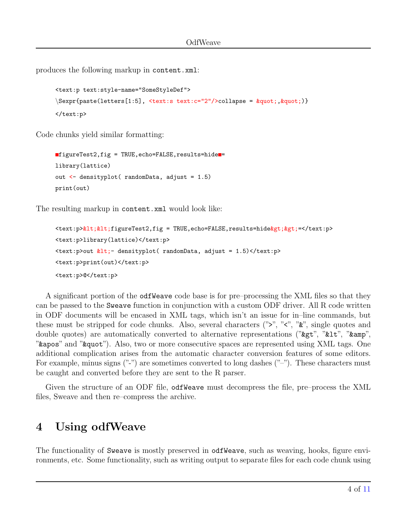produces the following markup in content.xml:

```
<text:p text:style-name="SomeStyleDef">
\text{Sexpr} \ = \text{gunct}(letters[1:5], \text{Surt}:s text:1:2" \< \text{collapse} = \text{gquot}; \text{gquot};)</text:p>
```
Code chunks yield similar formatting:

```
\blacksquarefigureTest2,fig = TRUE,echo=FALSE,results=hide\blacksquare=
library(lattice)
out <- densityplot( randomData, adjust = 1.5)
print(out)
```
The resulting markup in content.xml would look like:

```
\texttt{text:} p>\&1t; \&1t; figureTest2, fig = TRUE, echo=FALSE, results=hide \> gt; e</text: p>
<text:p>library(lattice)</text:p>
\text{#test:}p>out \text{#lt:} densityplot( randomData, adjust = 1.5)</text:p>
<text:p>print(out)</text:p>
<text:p>@</text:p>
```
A significant portion of the odfWeave code base is for pre–processing the XML files so that they can be passed to the Sweave function in conjunction with a custom ODF driver. All R code written in ODF documents will be encased in XML tags, which isn't an issue for in–line commands, but these must be stripped for code chunks. Also, several characters (" $>$ ", " $\lt$ ", " $\&$ ", single quotes and double quotes) are automatically converted to alternative representations (" $\>g$ t", " $\>u$ ", " $\>u$ ", " $\&$ apos" and " $\&$ quot"). Also, two or more consecutive spaces are represented using XML tags. One additional complication arises from the automatic character conversion features of some editors. For example, minus signs  $(\cdot\cdot\cdot\cdot)$  are sometimes converted to long dashes  $(\cdot\cdot\cdot\cdot)$ . These characters must be caught and converted before they are sent to the R parser.

Given the structure of an ODF file, odfWeave must decompress the file, pre–process the XML files, Sweave and then re–compress the archive.

### 4 Using odfWeave

The functionality of Sweave is mostly preserved in odfweave, such as weaving, hooks, figure environments, etc. Some functionality, such as writing output to separate files for each code chunk using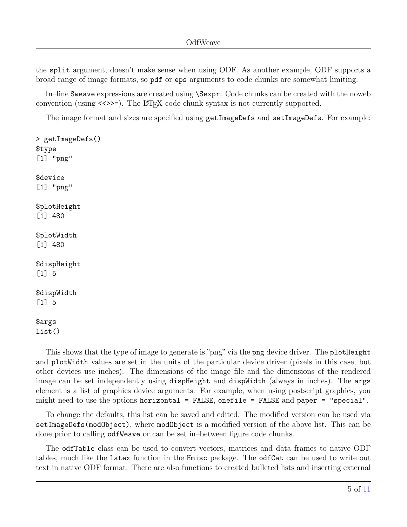the split argument, doesn't make sense when using ODF. As another example, ODF supports a broad range of image formats, so pdf or eps arguments to code chunks are somewhat limiting.

In–line Sweave expressions are created using \Sexpr. Code chunks can be created with the noweb convention (using  $\langle \langle \rangle \rangle$ ). The LATEX code chunk syntax is not currently supported.

The image format and sizes are specified using getImageDefs and setImageDefs. For example:

```
> getImageDefs()
$type
[1] "png"
$device
[1] "png"
$plotHeight
[1] 480
$plotWidth
[1] 480
$dispHeight
[1] 5
$dispWidth
[1] 5
$args
list()
```
This shows that the type of image to generate is "png" via the png device driver. The plotHeight and plotWidth values are set in the units of the particular device driver (pixels in this case, but other devices use inches). The dimensions of the image file and the dimensions of the rendered image can be set independently using dispHeight and dispWidth (always in inches). The args element is a list of graphics device arguments. For example, when using postscript graphics, you might need to use the options horizontal = FALSE, onefile = FALSE and paper = "special".

To change the defaults, this list can be saved and edited. The modified version can be used via setImageDefs(modObject), where modObject is a modified version of the above list. This can be done prior to calling odfWeave or can be set in–between figure code chunks.

The odfTable class can be used to convert vectors, matrices and data frames to native ODF tables, much like the latex function in the Hmisc package. The odfCat can be used to write out text in native ODF format. There are also functions to created bulleted lists and inserting external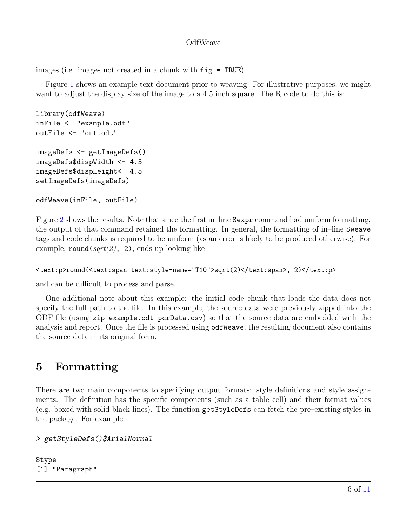images (i.e. images not created in a chunk with fig = TRUE).

Figure [1](#page-6-0) shows an example text document prior to weaving. For illustrative purposes, we might want to adjust the display size of the image to a 4.5 inch square. The R code to do this is:

```
library(odfWeave)
inFile <- "example.odt"
outFile <- "out.odt"
imageDefs <- getImageDefs()
imageDefs$dispWidth <- 4.5
imageDefs$dispHeight<- 4.5
setImageDefs(imageDefs)
```

```
odfWeave(inFile, outFile)
```
Figure [2](#page-7-0) shows the results. Note that since the first in–line Sexpr command had uniform formatting, the output of that command retained the formatting. In general, the formatting of in–line Sweave tags and code chunks is required to be uniform (as an error is likely to be produced otherwise). For example,  $round(sqrt(2), 2)$ , ends up looking like

```
<text:p>round(<text:span text:style-name="T10">sqrt(2)</text:span>, 2)</text:p>
```
and can be difficult to process and parse.

One additional note about this example: the initial code chunk that loads the data does not specify the full path to the file. In this example, the source data were previously zipped into the ODF file (using zip example.odt pcrData.csv) so that the source data are embedded with the analysis and report. Once the file is processed using odfWeave, the resulting document also contains the source data in its original form.

## 5 Formatting

There are two main components to specifying output formats: style definitions and style assignments. The definition has the specific components (such as a table cell) and their format values (e.g. boxed with solid black lines). The function getStyleDefs can fetch the pre–existing styles in the package. For example:

```
> getStyleDefs()$ArialNormal
```
\$type [1] "Paragraph"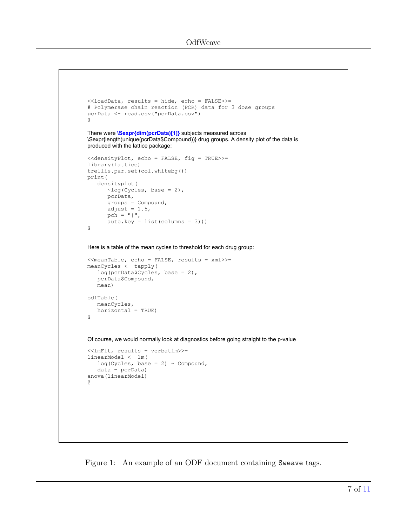```
<<loadData, results = hide, echo = FALSE>>=
# Polymerase chain reaction (PCR) data for 3 dose groups 
pcrData <- read.csv("pcrData.csv")
@
There were \Sexpr{dim(pcrData)[1]} subjects measured across
\Sexpr{length(unique(pcrData$Compound))} drug groups. A density plot of the data is
produced with the lattice package:
<<densityPlot, echo = FALSE, fig = TRUE>>=
library(lattice)
trellis.par.set(col.whitebg())
print(
    densityplot(
      \simlog(Cycles, base = 2),
       pcrData, 
       groups = Compound, 
      adjust = 1.5,
      pch = "|",
       auto.key = list(columns = 3)))
@
Here is a table of the mean cycles to threshold for each drug group:
<<meanTable, echo = FALSE, results = xml>>=
meanCycles <- tapply(
   log(pcrData$Cycles, base = 2), 
    pcrData$Compound, 
    mean)
odfTable(
    meanCycles,
    horizontal = TRUE)
@
Of course, we would normally look at diagnostics before going straight to the p-value
<<lmFit, results = verbatim>>=
linearModel <- lm(
   log(Cycles, base = 2) \sim Compound, data = pcrData)
anova(linearModel)
@
```
<span id="page-6-0"></span>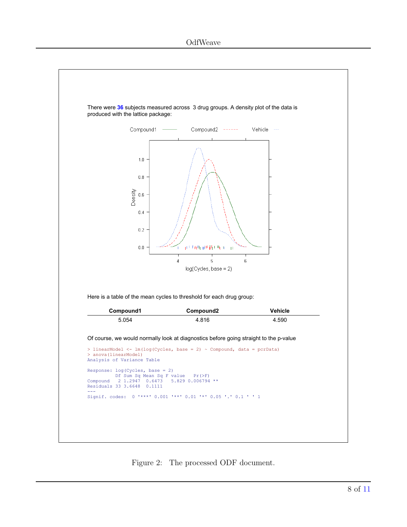

<span id="page-7-0"></span>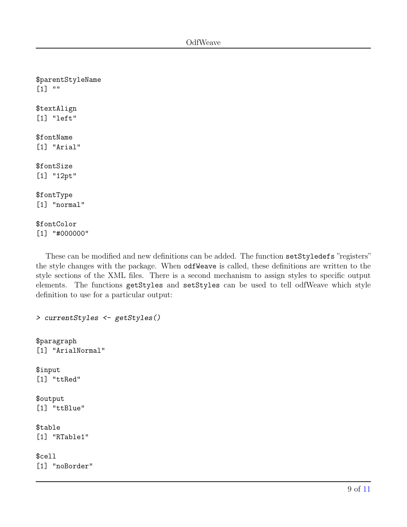\$parentStyleName  $[1]$  "" \$textAlign [1] "left" \$fontName [1] "Arial" \$fontSize [1] "12pt" \$fontType [1] "normal" \$fontColor [1] "#000000"

These can be modified and new definitions can be added. The function setStyledefs "registers" the style changes with the package. When odfWeave is called, these definitions are written to the style sections of the XML files. There is a second mechanism to assign styles to specific output elements. The functions getStyles and setStyles can be used to tell odfWeave which style definition to use for a particular output:

> currentStyles <- getStyles()

\$paragraph [1] "ArialNormal"

\$input [1] "ttRed"

\$output [1] "ttBlue"

\$table [1] "RTable1"

\$cell [1] "noBorder"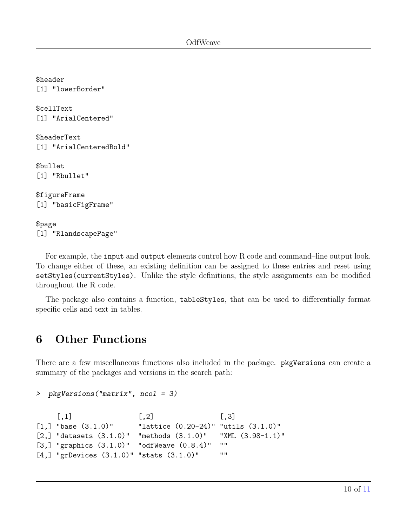\$header [1] "lowerBorder" \$cellText [1] "ArialCentered" \$headerText [1] "ArialCenteredBold" \$bullet [1] "Rbullet" \$figureFrame [1] "basicFigFrame" \$page [1] "RlandscapePage"

For example, the input and output elements control how R code and command–line output look. To change either of these, an existing definition can be assigned to these entries and reset using setStyles(currentStyles). Unlike the style definitions, the style assignments can be modified throughout the R code.

The package also contains a function, tableStyles, that can be used to differentially format specific cells and text in tables.

## 6 Other Functions

There are a few miscellaneous functions also included in the package. pkgVersions can create a summary of the packages and versions in the search path:

```
> pkgVersions("matrix", ncol = 3)
```

```
[,1] [,2] [,3]
[1,] "base (3.1.0)" "lattice (0.20-24)" "utils (3.1.0)"
[2,] "datasets (3.1.0)" "methods (3.1.0)" "XML (3.98-1.1)"
[3,] "graphics (3.1.0)" "odfWeave (0.8.4)" ""
[4,] "grDevices (3.1.0)" "stats (3.1.0)" ""
```